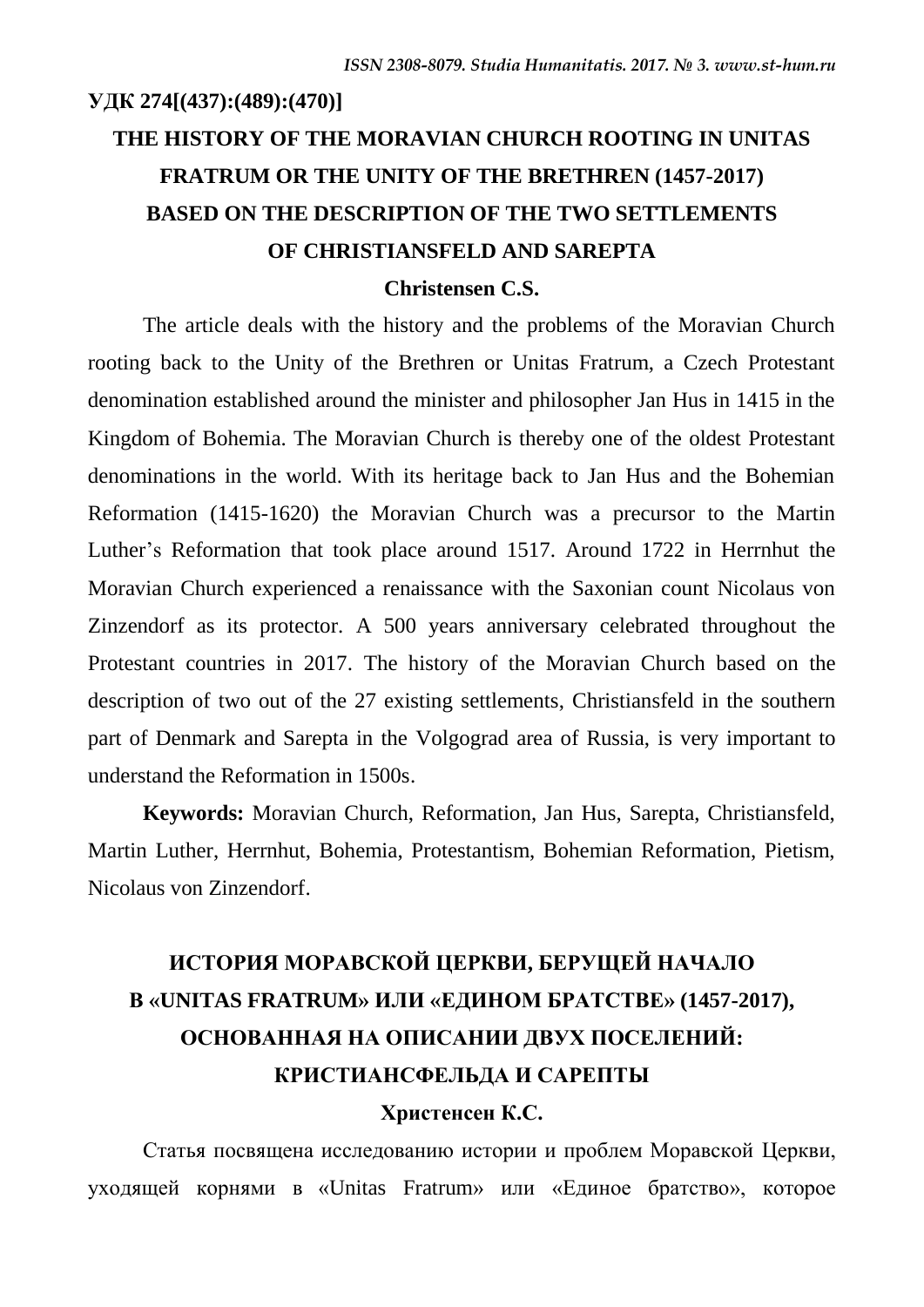# **УДК 274[(437):(489):(470)] THE HISTORY OF THE MORAVIAN CHURCH ROOTING IN UNITAS FRATRUM OR THE UNITY OF THE BRETHREN (1457-2017) BASED ON THE DESCRIPTION OF THE TWO SETTLEMENTS OF CHRISTIANSFELD AND SAREPTA**

### **Christensen C.S.**

The article deals with the history and the problems of the Moravian Church rooting back to the Unity of the Brethren or Unitas Fratrum, a Czech Protestant denomination established around the minister and philosopher Jan Hus in 1415 in the Kingdom of Bohemia. The Moravian Church is thereby one of the oldest Protestant denominations in the world. With its heritage back to Jan Hus and the Bohemian Reformation (1415-1620) the Moravian Church was a precursor to the Martin Luther's Reformation that took place around 1517. Around 1722 in Herrnhut the Moravian Church experienced a renaissance with the Saxonian count Nicolaus von Zinzendorf as its protector. A 500 years anniversary celebrated throughout the Protestant countries in 2017. The history of the Moravian Church based on the description of two out of the 27 existing settlements, Christiansfeld in the southern part of Denmark and Sarepta in the Volgograd area of Russia, is very important to understand the Reformation in 1500s.

**Keywords:** Moravian Church, Reformation, Jan Hus, Sarepta, Christiansfeld, Martin Luther, Herrnhut, Bohemia, Protestantism, Bohemian Reformation, Pietism, Nicolaus von Zinzendorf.

# **ИСТОРИЯ МОРАВСКОЙ ЦЕРКВИ, БЕРУЩЕЙ НАЧАЛО В «UNITAS FRATRUM» ИЛИ «ЕДИНОМ БРАТСТВЕ» (1457-2017), ОСНОВАННАЯ НА ОПИСАНИИ ДВУХ ПОСЕЛЕНИЙ: КРИСТИАНСФЕЛЬДА И САРЕПТЫ Христенсен К.С.**

Статья посвящена исследованию истории и проблем Моравской Церкви, уходящей корнями в «Unitas Fratrum» или «Единое братство», которое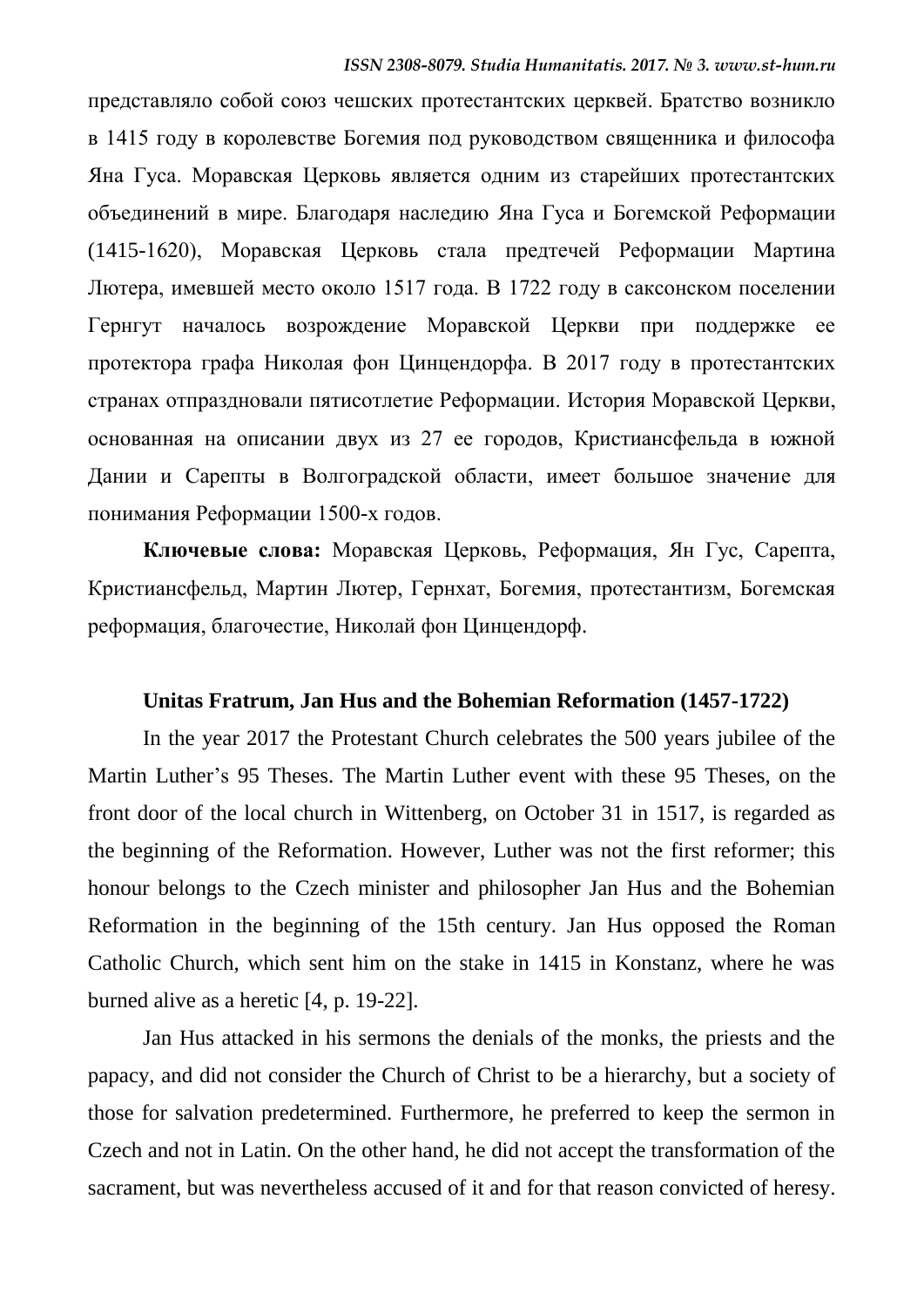представляло собой союз чешских протестантских церквей. Братство возникло в 1415 году в королевстве Богемия под руководством священника и философа Яна Гуса. Моравская Церковь является одним из старейших протестантских объединений в мире. Благодаря наследию Яна Гуса и Богемской Реформации (1415-1620), Моравская Церковь стала предтечей Реформации Мартина Лютера, имевшей место около 1517 года. В 1722 году в саксонском поселении Гернгут началось возрождение Моравской Церкви при поддержке ее протектора графа Николая фон Цинцендорфа. В 2017 году в протестантских странах отпраздновали пятисотлетие Реформации. История Моравской Церкви, основанная на описании двух из 27 ее городов, Кристиансфельда в южной Дании и Сарепты в Волгоградской области, имеет большое значение для понимания Реформации 1500-х годов.

**Ключевые слова:** Моравская Церковь, Реформация, Ян Гус, Сарепта, Кристиансфельд, Мартин Лютер, Гернхат, Богемия, протестантизм, Богемская реформация, благочестие, Николай фон Цинцендорф.

### **Unitas Fratrum, Jan Hus and the Bohemian Reformation (1457-1722)**

In the year 2017 the Protestant Church celebrates the 500 years jubilee of the Martin Luther's 95 Theses. The Martin Luther event with these 95 Theses, on the front door of the local church in Wittenberg, on October 31 in 1517, is regarded as the beginning of the Reformation. However, Luther was not the first reformer; this honour belongs to the Czech minister and philosopher Jan Hus and the Bohemian Reformation in the beginning of the 15th century. Jan Hus opposed the Roman Catholic Church, which sent him on the stake in 1415 in Konstanz, where he was burned alive as a heretic [4, p. 19-22].

Jan Hus attacked in his sermons the denials of the monks, the priests and the papacy, and did not consider the Church of Christ to be a hierarchy, but a society of those for salvation predetermined. Furthermore, he preferred to keep the sermon in Czech and not in Latin. On the other hand, he did not accept the transformation of the sacrament, but was nevertheless accused of it and for that reason convicted of heresy.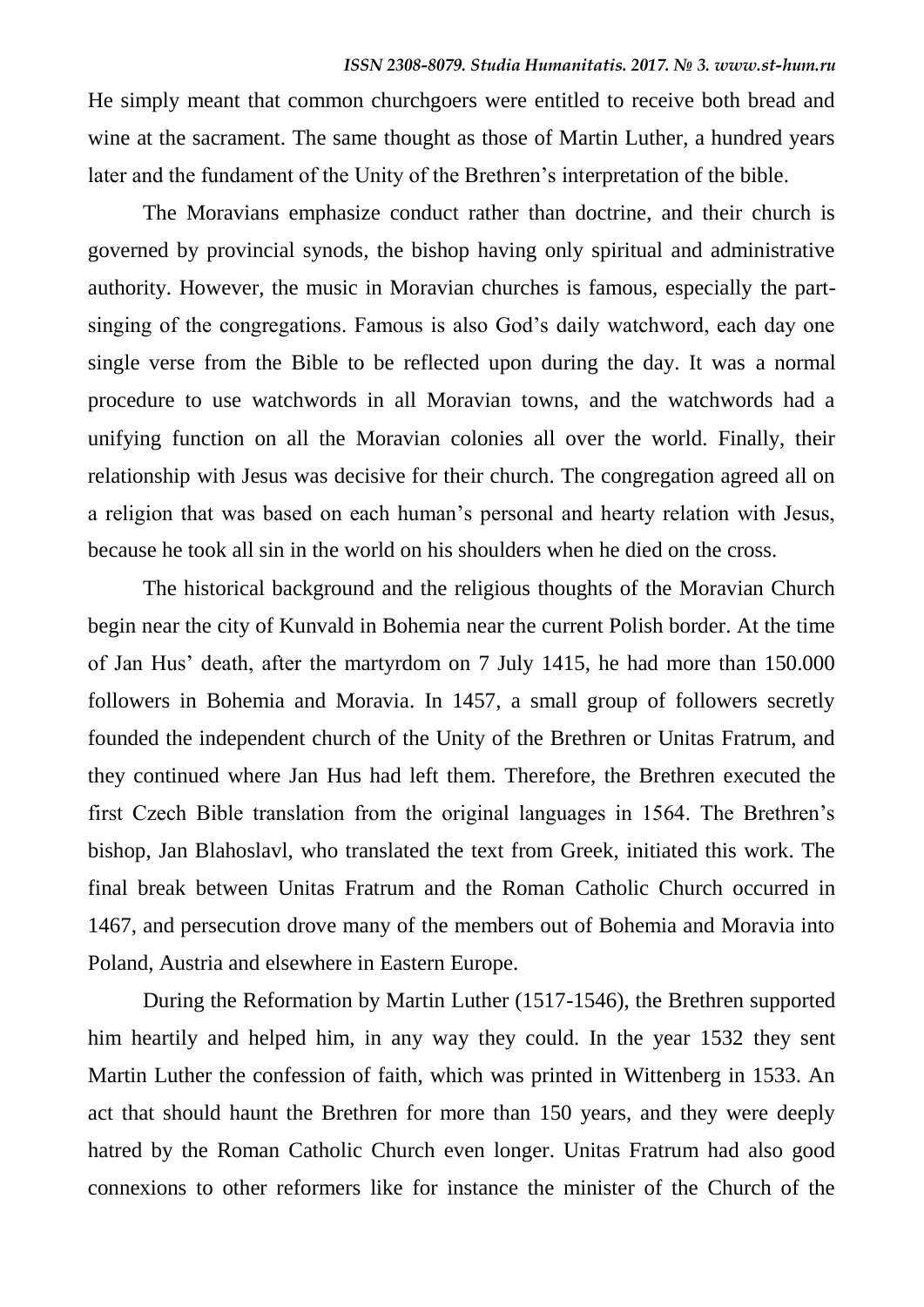He simply meant that common churchgoers were entitled to receive both bread and wine at the sacrament. The same thought as those of Martin Luther, a hundred years later and the fundament of the Unity of the Brethren's interpretation of the bible.

The Moravians emphasize conduct rather than doctrine, and their church is governed by provincial synods, the bishop having only spiritual and administrative authority. However, the music in Moravian churches is famous, especially the partsinging of the congregations. Famous is also God's daily watchword, each day one single verse from the Bible to be reflected upon during the day. It was a normal procedure to use watchwords in all Moravian towns, and the watchwords had a unifying function on all the Moravian colonies all over the world. Finally, their relationship with Jesus was decisive for their church. The congregation agreed all on a religion that was based on each human's personal and hearty relation with Jesus, because he took all sin in the world on his shoulders when he died on the cross.

The historical background and the religious thoughts of the Moravian Church begin near the city of Kunvald in Bohemia near the current Polish border. At the time of Jan Hus' death, after the martyrdom on 7 July 1415, he had more than 150.000 followers in Bohemia and Moravia. In 1457, a small group of followers secretly founded the independent church of the Unity of the Brethren or Unitas Fratrum, and they continued where Jan Hus had left them. Therefore, the Brethren executed the first Czech Bible translation from the original languages in 1564. The Brethren's bishop, Jan Blahoslavl, who translated the text from Greek, initiated this work. The final break between Unitas Fratrum and the Roman Catholic Church occurred in 1467, and persecution drove many of the members out of Bohemia and Moravia into Poland, Austria and elsewhere in Eastern Europe.

During the Reformation by Martin Luther (1517-1546), the Brethren supported him heartily and helped him, in any way they could. In the year 1532 they sent Martin Luther the confession of faith, which was printed in Wittenberg in 1533. An act that should haunt the Brethren for more than 150 years, and they were deeply hatred by the Roman Catholic Church even longer. Unitas Fratrum had also good connexions to other reformers like for instance the minister of the Church of the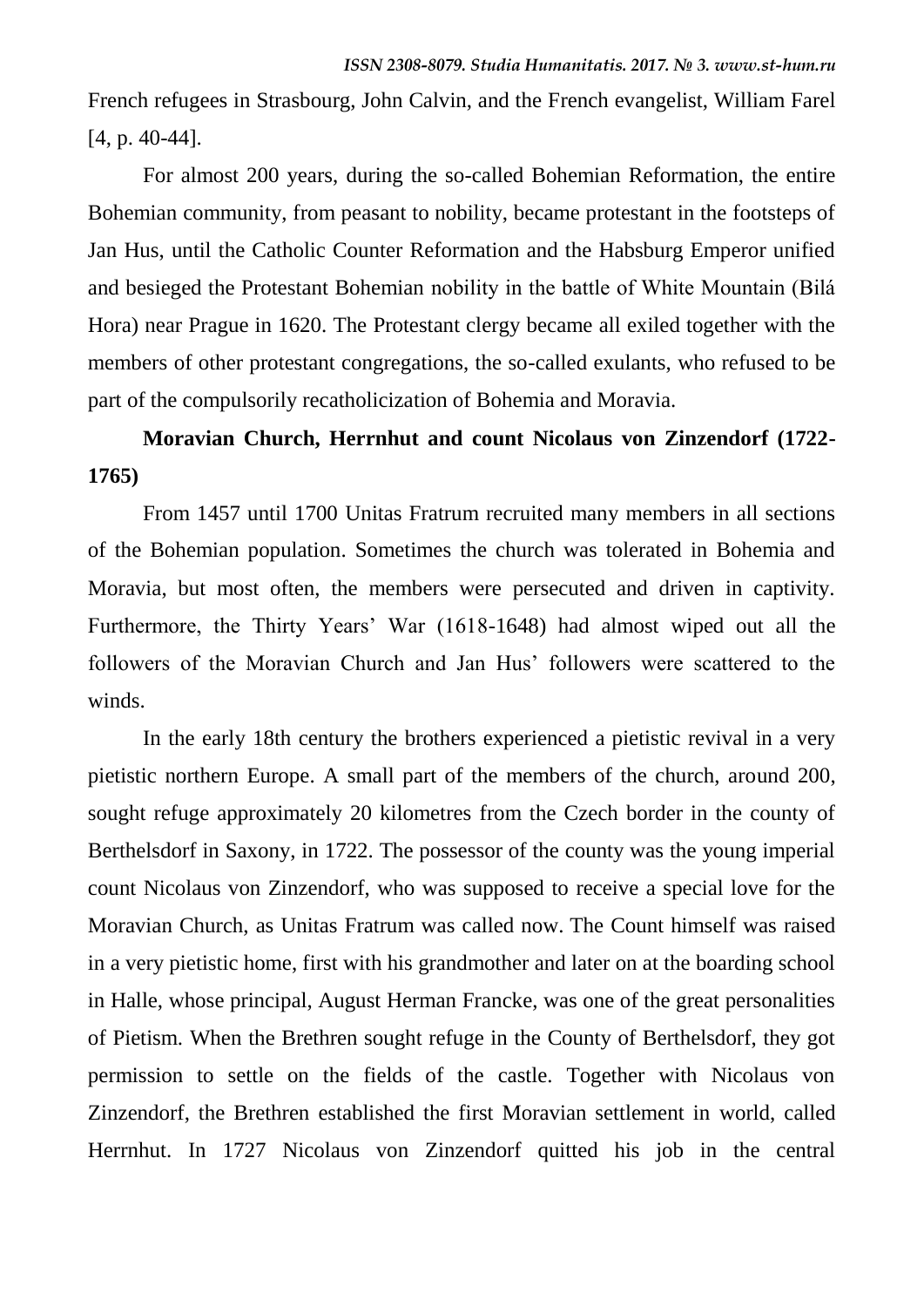French refugees in Strasbourg, John Calvin, and the French evangelist, William Farel [4, p. 40-44].

For almost 200 years, during the so-called Bohemian Reformation, the entire Bohemian community, from peasant to nobility, became protestant in the footsteps of Jan Hus, until the Catholic Counter Reformation and the Habsburg Emperor unified and besieged the Protestant Bohemian nobility in the battle of White Mountain (Bilá Hora) near Prague in 1620. The Protestant clergy became all exiled together with the members of other protestant congregations, the so-called exulants, who refused to be part of the compulsorily recatholicization of Bohemia and Moravia.

## **Moravian Church, Herrnhut and count Nicolaus von Zinzendorf (1722- 1765)**

From 1457 until 1700 Unitas Fratrum recruited many members in all sections of the Bohemian population. Sometimes the church was tolerated in Bohemia and Moravia, but most often, the members were persecuted and driven in captivity. Furthermore, the Thirty Years' War (1618-1648) had almost wiped out all the followers of the Moravian Church and Jan Hus' followers were scattered to the winds.

In the early 18th century the brothers experienced a pietistic revival in a very pietistic northern Europe. A small part of the members of the church, around 200, sought refuge approximately 20 kilometres from the Czech border in the county of Berthelsdorf in Saxony, in 1722. The possessor of the county was the young imperial count Nicolaus von Zinzendorf, who was supposed to receive a special love for the Moravian Church, as Unitas Fratrum was called now. The Count himself was raised in a very pietistic home, first with his grandmother and later on at the boarding school in Halle, whose principal, August Herman Francke, was one of the great personalities of Pietism. When the Brethren sought refuge in the County of Berthelsdorf, they got permission to settle on the fields of the castle. Together with Nicolaus von Zinzendorf, the Brethren established the first Moravian settlement in world, called Herrnhut. In 1727 Nicolaus von Zinzendorf quitted his job in the central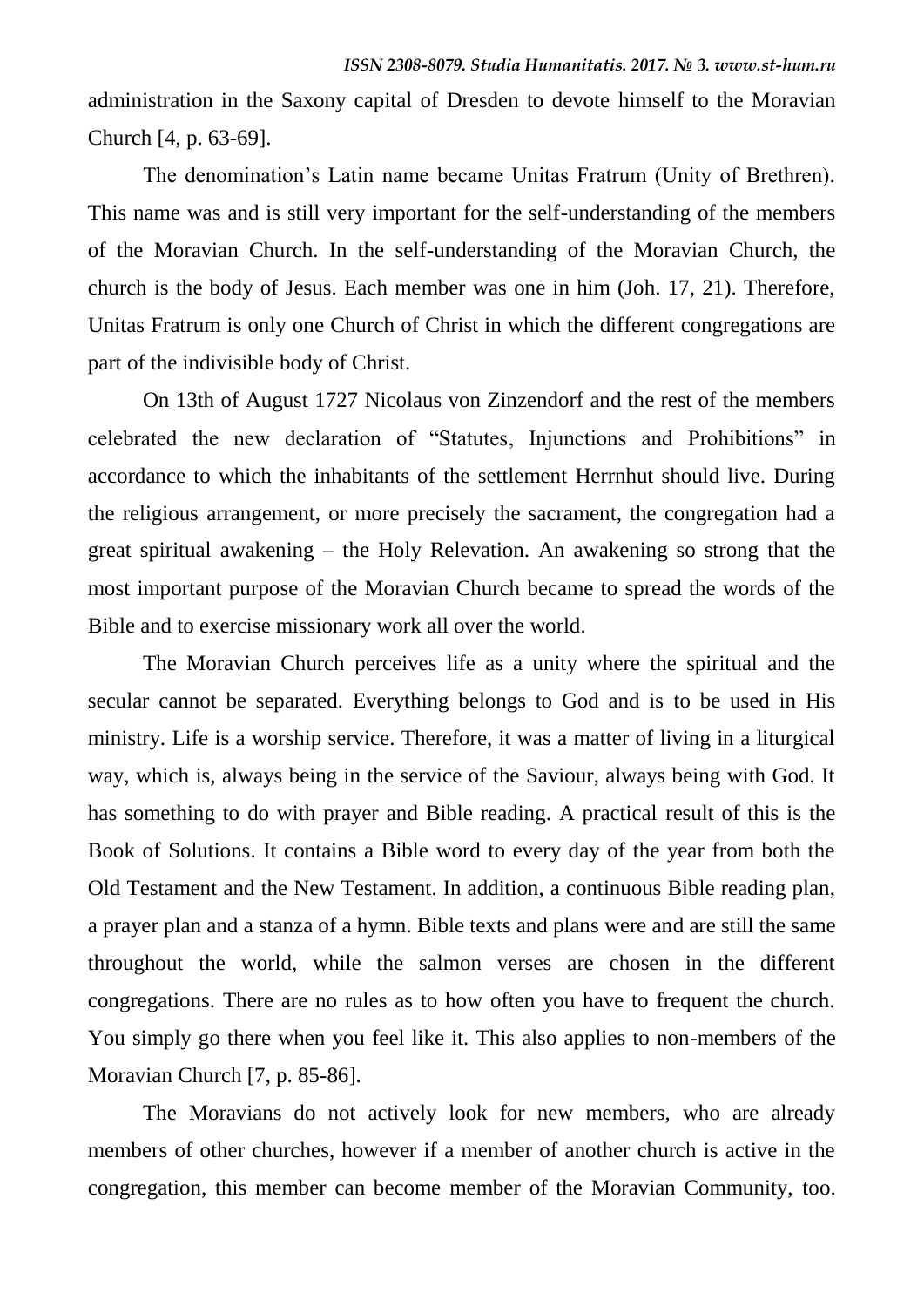administration in the Saxony capital of Dresden to devote himself to the Moravian Church [4, p. 63-69].

The denomination's Latin name became Unitas Fratrum (Unity of Brethren). This name was and is still very important for the self-understanding of the members of the Moravian Church. In the self-understanding of the Moravian Church, the church is the body of Jesus. Each member was one in him (Joh. 17, 21). Therefore, Unitas Fratrum is only one Church of Christ in which the different congregations are part of the indivisible body of Christ.

On 13th of August 1727 Nicolaus von Zinzendorf and the rest of the members celebrated the new declaration of "Statutes, Injunctions and Prohibitions" in accordance to which the inhabitants of the settlement Herrnhut should live. During the religious arrangement, or more precisely the sacrament, the congregation had a great spiritual awakening – the Holy Relevation. An awakening so strong that the most important purpose of the Moravian Church became to spread the words of the Bible and to exercise missionary work all over the world.

The Moravian Church perceives life as a unity where the spiritual and the secular cannot be separated. Everything belongs to God and is to be used in His ministry. Life is a worship service. Therefore, it was a matter of living in a liturgical way, which is, always being in the service of the Saviour, always being with God. It has something to do with prayer and Bible reading. A practical result of this is the Book of Solutions. It contains a Bible word to every day of the year from both the Old Testament and the New Testament. In addition, a continuous Bible reading plan, a prayer plan and a stanza of a hymn. Bible texts and plans were and are still the same throughout the world, while the salmon verses are chosen in the different congregations. There are no rules as to how often you have to frequent the church. You simply go there when you feel like it. This also applies to non-members of the Moravian Church [7, p. 85-86].

The Moravians do not actively look for new members, who are already members of other churches, however if a member of another church is active in the congregation, this member can become member of the Moravian Community, too.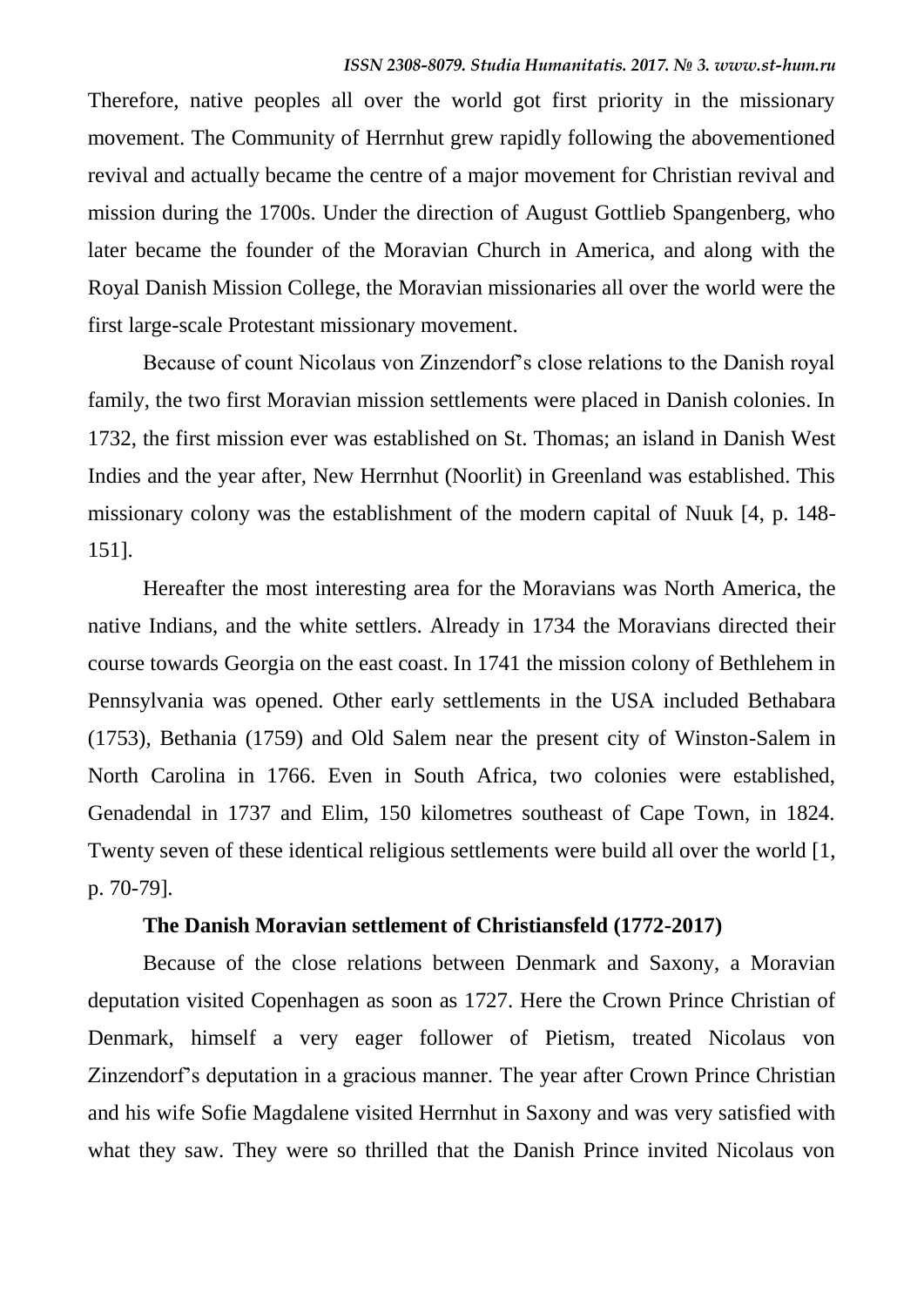Therefore, native peoples all over the world got first priority in the missionary movement. The Community of Herrnhut grew rapidly following the abovementioned revival and actually became the centre of a major movement for Christian revival and mission during the 1700s. Under the direction of August Gottlieb Spangenberg, who later became the founder of the Moravian Church in America, and along with the Royal Danish Mission College, the Moravian missionaries all over the world were the first large-scale Protestant missionary movement.

Because of count Nicolaus von Zinzendorf's close relations to the Danish royal family, the two first Moravian mission settlements were placed in Danish colonies. In 1732, the first mission ever was established on St. Thomas; an island in Danish West Indies and the year after, New Herrnhut (Noorlit) in Greenland was established. This missionary colony was the establishment of the modern capital of Nuuk [4, p. 148- 151].

Hereafter the most interesting area for the Moravians was North America, the native Indians, and the white settlers. Already in 1734 the Moravians directed their course towards Georgia on the east coast. In 1741 the mission colony of Bethlehem in Pennsylvania was opened. Other early settlements in the USA included Bethabara (1753), Bethania (1759) and Old Salem near the present city of Winston-Salem in North Carolina in 1766. Even in South Africa, two colonies were established, Genadendal in 1737 and Elim, 150 kilometres southeast of Cape Town, in 1824. Twenty seven of these identical religious settlements were build all over the world [1, p. 70-79].

### **The Danish Moravian settlement of Christiansfeld (1772-2017)**

Because of the close relations between Denmark and Saxony, a Moravian deputation visited Copenhagen as soon as 1727. Here the Crown Prince Christian of Denmark, himself a very eager follower of Pietism, treated Nicolaus von Zinzendorf's deputation in a gracious manner. The year after Crown Prince Christian and his wife Sofie Magdalene visited Herrnhut in Saxony and was very satisfied with what they saw. They were so thrilled that the Danish Prince invited Nicolaus von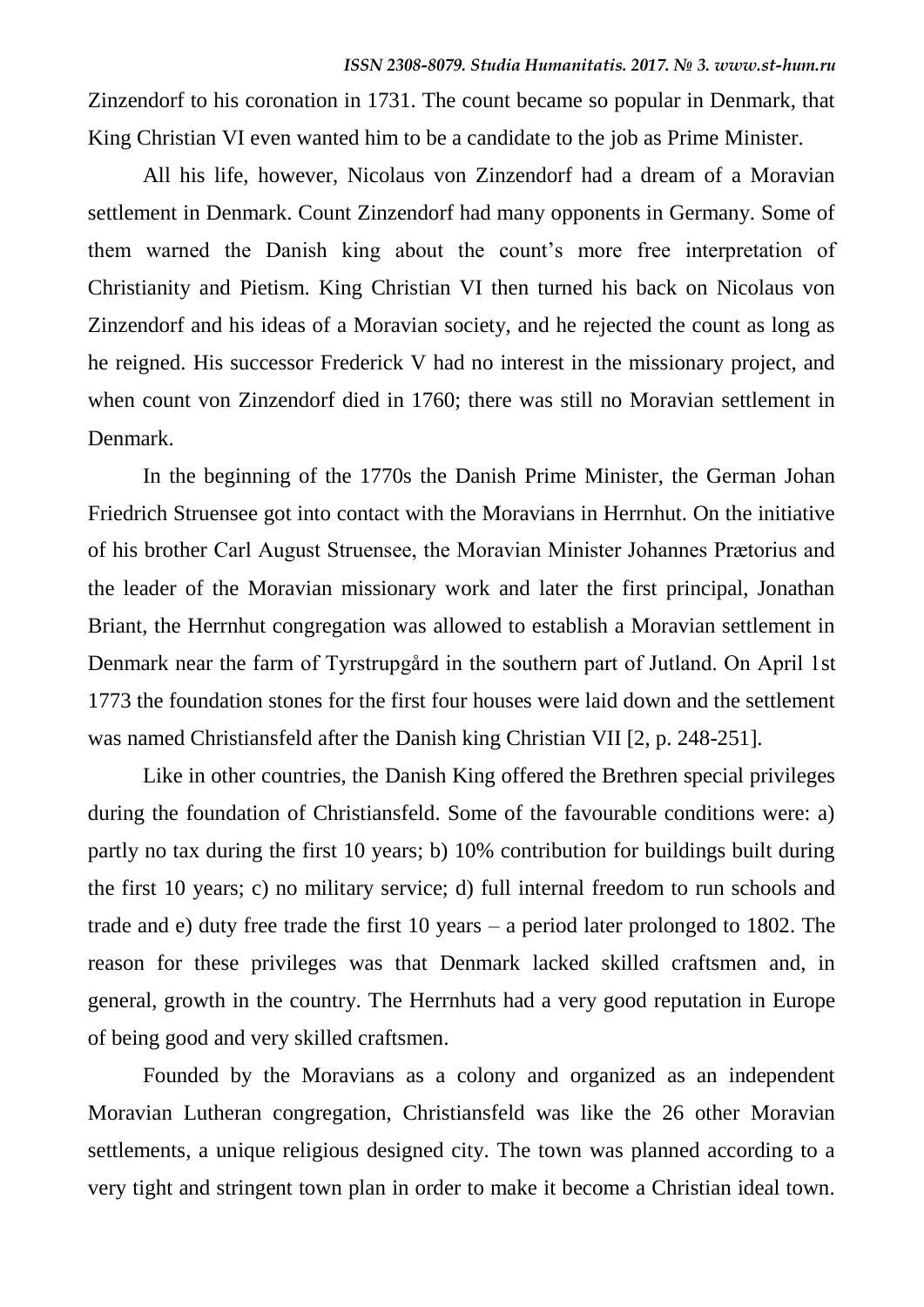Zinzendorf to his coronation in 1731. The count became so popular in Denmark, that King Christian VI even wanted him to be a candidate to the job as Prime Minister.

All his life, however, Nicolaus von Zinzendorf had a dream of a Moravian settlement in Denmark. Count Zinzendorf had many opponents in Germany. Some of them warned the Danish king about the count's more free interpretation of Christianity and Pietism. King Christian VI then turned his back on Nicolaus von Zinzendorf and his ideas of a Moravian society, and he rejected the count as long as he reigned. His successor Frederick V had no interest in the missionary project, and when count von Zinzendorf died in 1760; there was still no Moravian settlement in Denmark.

In the beginning of the 1770s the Danish Prime Minister, the German Johan Friedrich Struensee got into contact with the Moravians in Herrnhut. On the initiative of his brother Carl August Struensee, the Moravian Minister Johannes Prætorius and the leader of the Moravian missionary work and later the first principal, Jonathan Briant, the Herrnhut congregation was allowed to establish a Moravian settlement in Denmark near the farm of Tyrstrupgård in the southern part of Jutland. On April 1st 1773 the foundation stones for the first four houses were laid down and the settlement was named Christiansfeld after the Danish king Christian VII [2, p. 248-251].

Like in other countries, the Danish King offered the Brethren special privileges during the foundation of Christiansfeld. Some of the favourable conditions were: a) partly no tax during the first 10 years; b) 10% contribution for buildings built during the first 10 years; c) no military service; d) full internal freedom to run schools and trade and e) duty free trade the first 10 years – a period later prolonged to 1802. The reason for these privileges was that Denmark lacked skilled craftsmen and, in general, growth in the country. The Herrnhuts had a very good reputation in Europe of being good and very skilled craftsmen.

Founded by the Moravians as a colony and organized as an independent Moravian Lutheran congregation, Christiansfeld was like the 26 other Moravian settlements, a unique religious designed city. The town was planned according to a very tight and stringent town plan in order to make it become a Christian ideal town.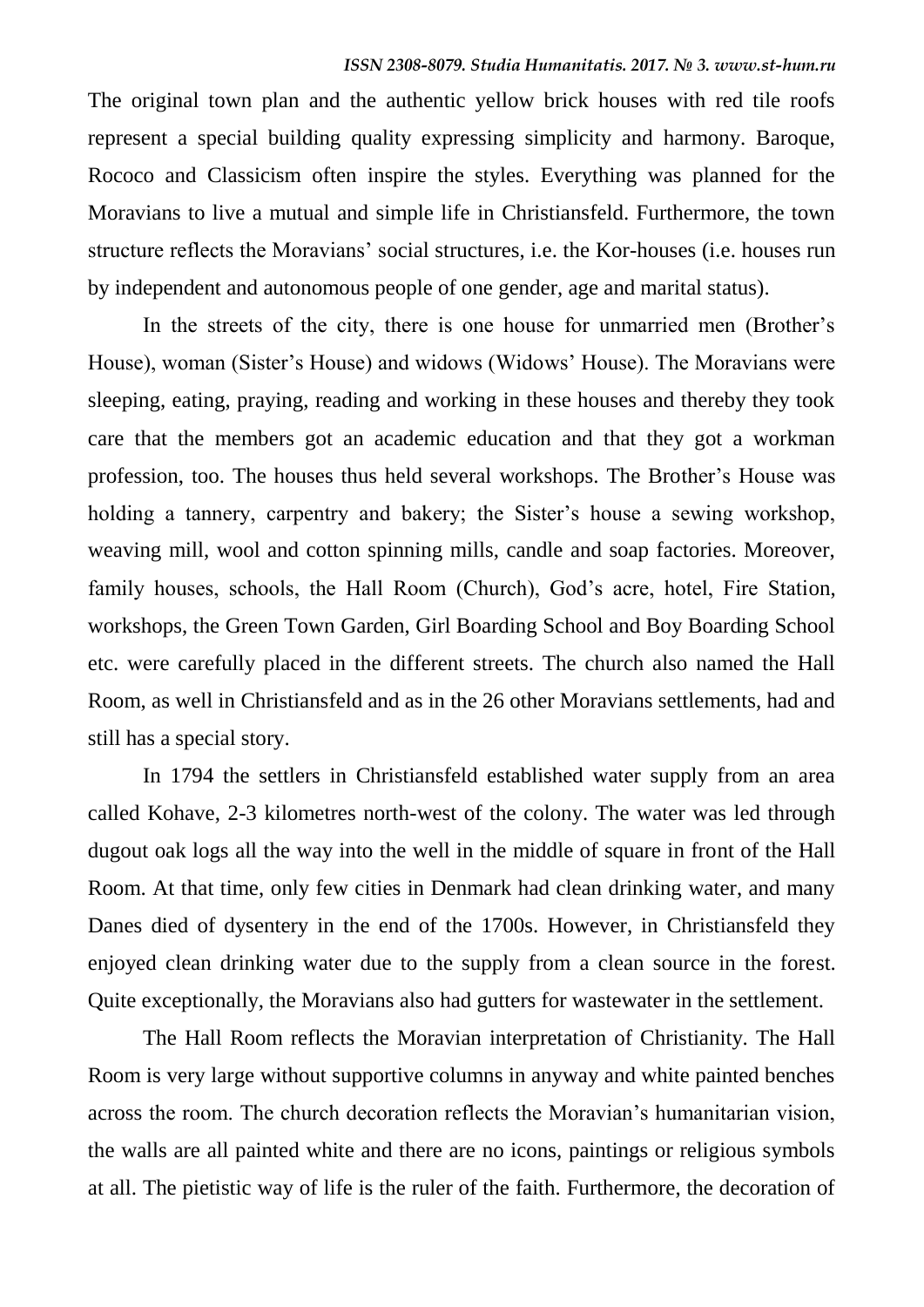The original town plan and the authentic yellow brick houses with red tile roofs represent a special building quality expressing simplicity and harmony. Baroque, Rococo and Classicism often inspire the styles. Everything was planned for the Moravians to live a mutual and simple life in Christiansfeld. Furthermore, the town structure reflects the Moravians' social structures, i.e. the Kor-houses (i.e. houses run by independent and autonomous people of one gender, age and marital status).

In the streets of the city, there is one house for unmarried men (Brother's House), woman (Sister's House) and widows (Widows' House). The Moravians were sleeping, eating, praying, reading and working in these houses and thereby they took care that the members got an academic education and that they got a workman profession, too. The houses thus held several workshops. The Brother's House was holding a tannery, carpentry and bakery; the Sister's house a sewing workshop, weaving mill, wool and cotton spinning mills, candle and soap factories. Moreover, family houses, schools, the Hall Room (Church), God's acre, hotel, Fire Station, workshops, the Green Town Garden, Girl Boarding School and Boy Boarding School etc. were carefully placed in the different streets. The church also named the Hall Room, as well in Christiansfeld and as in the 26 other Moravians settlements, had and still has a special story.

In 1794 the settlers in Christiansfeld established water supply from an area called Kohave, 2-3 kilometres north-west of the colony. The water was led through dugout oak logs all the way into the well in the middle of square in front of the Hall Room. At that time, only few cities in Denmark had clean drinking water, and many Danes died of dysentery in the end of the 1700s. However, in Christiansfeld they enjoyed clean drinking water due to the supply from a clean source in the forest. Quite exceptionally, the Moravians also had gutters for wastewater in the settlement.

The Hall Room reflects the Moravian interpretation of Christianity. The Hall Room is very large without supportive columns in anyway and white painted benches across the room. The church decoration reflects the Moravian's humanitarian vision, the walls are all painted white and there are no icons, paintings or religious symbols at all. The pietistic way of life is the ruler of the faith. Furthermore, the decoration of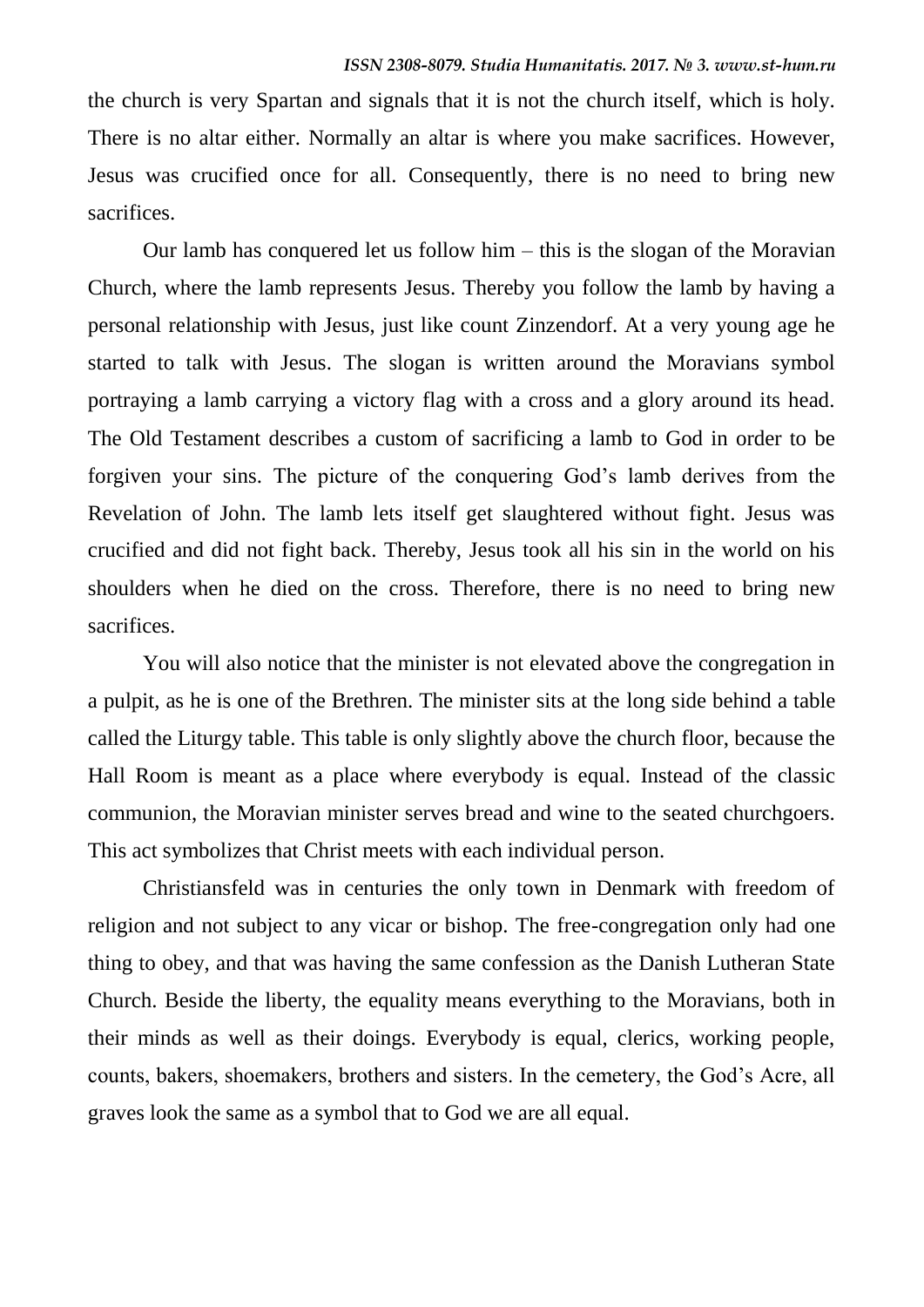the church is very Spartan and signals that it is not the church itself, which is holy. There is no altar either. Normally an altar is where you make sacrifices. However, Jesus was crucified once for all. Consequently, there is no need to bring new sacrifices.

Our lamb has conquered let us follow him – this is the slogan of the Moravian Church, where the lamb represents Jesus. Thereby you follow the lamb by having a personal relationship with Jesus, just like count Zinzendorf. At a very young age he started to talk with Jesus. The slogan is written around the Moravians symbol portraying a lamb carrying a victory flag with a cross and a glory around its head. The Old Testament describes a custom of sacrificing a lamb to God in order to be forgiven your sins. The picture of the conquering God's lamb derives from the Revelation of John. The lamb lets itself get slaughtered without fight. Jesus was crucified and did not fight back. Thereby, Jesus took all his sin in the world on his shoulders when he died on the cross. Therefore, there is no need to bring new sacrifices.

You will also notice that the minister is not elevated above the congregation in a pulpit, as he is one of the Brethren. The minister sits at the long side behind a table called the Liturgy table. This table is only slightly above the church floor, because the Hall Room is meant as a place where everybody is equal. Instead of the classic communion, the Moravian minister serves bread and wine to the seated churchgoers. This act symbolizes that Christ meets with each individual person.

Christiansfeld was in centuries the only town in Denmark with freedom of religion and not subject to any vicar or bishop. The free-congregation only had one thing to obey, and that was having the same confession as the Danish Lutheran State Church. Beside the liberty, the equality means everything to the Moravians, both in their minds as well as their doings. Everybody is equal, clerics, working people, counts, bakers, shoemakers, brothers and sisters. In the cemetery, the God's Acre, all graves look the same as a symbol that to God we are all equal.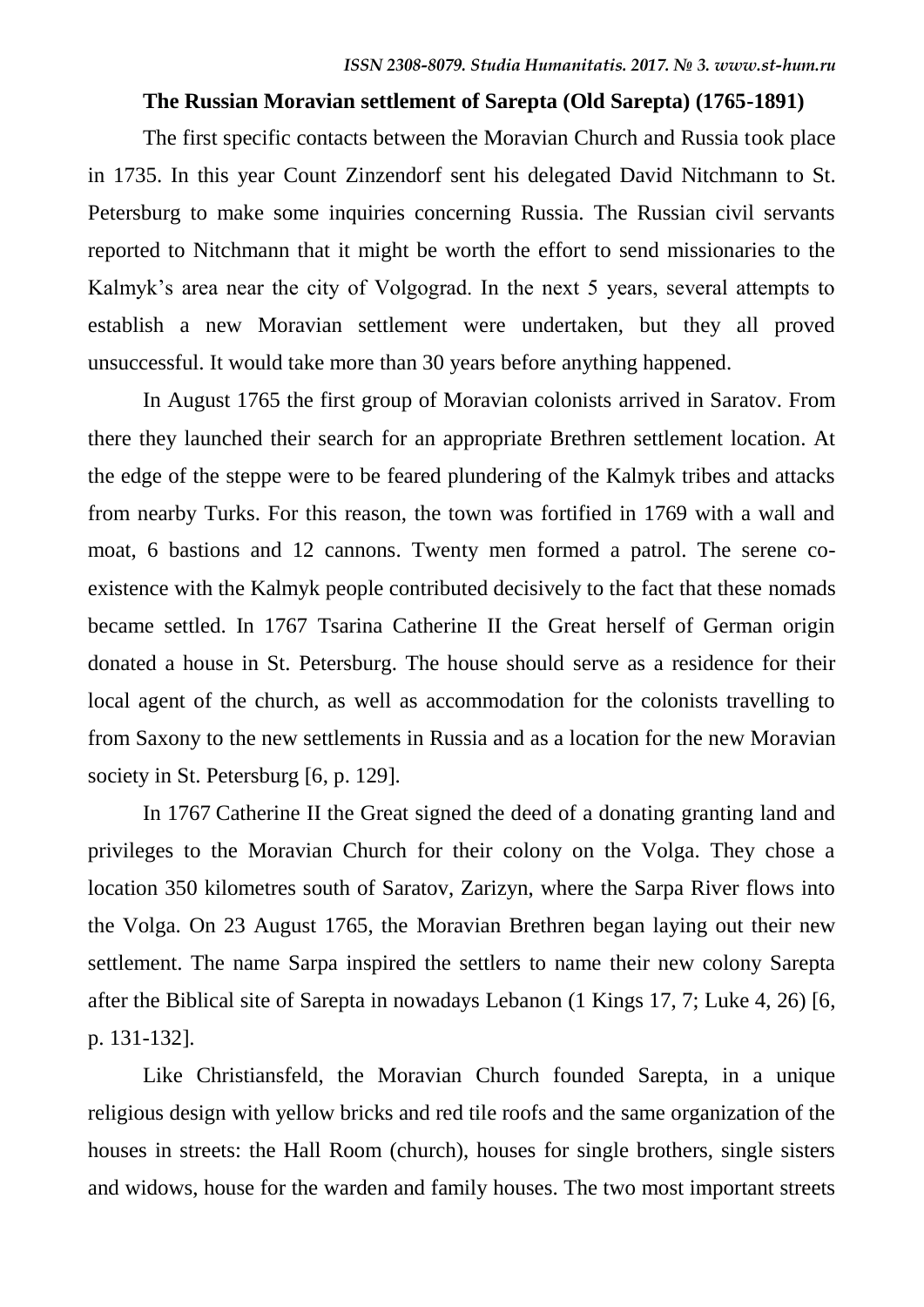### **The Russian Moravian settlement of Sarepta (Old Sarepta) (1765-1891)**

The first specific contacts between the Moravian Church and Russia took place in 1735. In this year Count Zinzendorf sent his delegated David Nitchmann to St. Petersburg to make some inquiries concerning Russia. The Russian civil servants reported to Nitchmann that it might be worth the effort to send missionaries to the Kalmyk's area near the city of Volgograd. In the next 5 years, several attempts to establish a new Moravian settlement were undertaken, but they all proved unsuccessful. It would take more than 30 years before anything happened.

In August 1765 the first group of Moravian colonists arrived in Saratov. From there they launched their search for an appropriate Brethren settlement location. At the edge of the steppe were to be feared plundering of the Kalmyk tribes and attacks from nearby Turks. For this reason, the town was fortified in 1769 with a wall and moat, 6 bastions and 12 cannons. Twenty men formed a patrol. The serene coexistence with the Kalmyk people contributed decisively to the fact that these nomads became settled. In 1767 Tsarina Catherine II the Great herself of German origin donated a house in St. Petersburg. The house should serve as a residence for their local agent of the church, as well as accommodation for the colonists travelling to from Saxony to the new settlements in Russia and as a location for the new Moravian society in St. Petersburg [6, p. 129].

In 1767 Catherine II the Great signed the deed of a donating granting land and privileges to the Moravian Church for their colony on the Volga. They chose a location 350 kilometres south of Saratov, Zarizyn, where the Sarpa River flows into the Volga. On 23 August 1765, the Moravian Brethren began laying out their new settlement. The name Sarpa inspired the settlers to name their new colony Sarepta after the Biblical site of Sarepta in nowadays Lebanon (1 Kings 17, 7; Luke 4, 26) [6, p. 131-132].

Like Christiansfeld, the Moravian Church founded Sarepta, in a unique religious design with yellow bricks and red tile roofs and the same organization of the houses in streets: the Hall Room (church), houses for single brothers, single sisters and widows, house for the warden and family houses. The two most important streets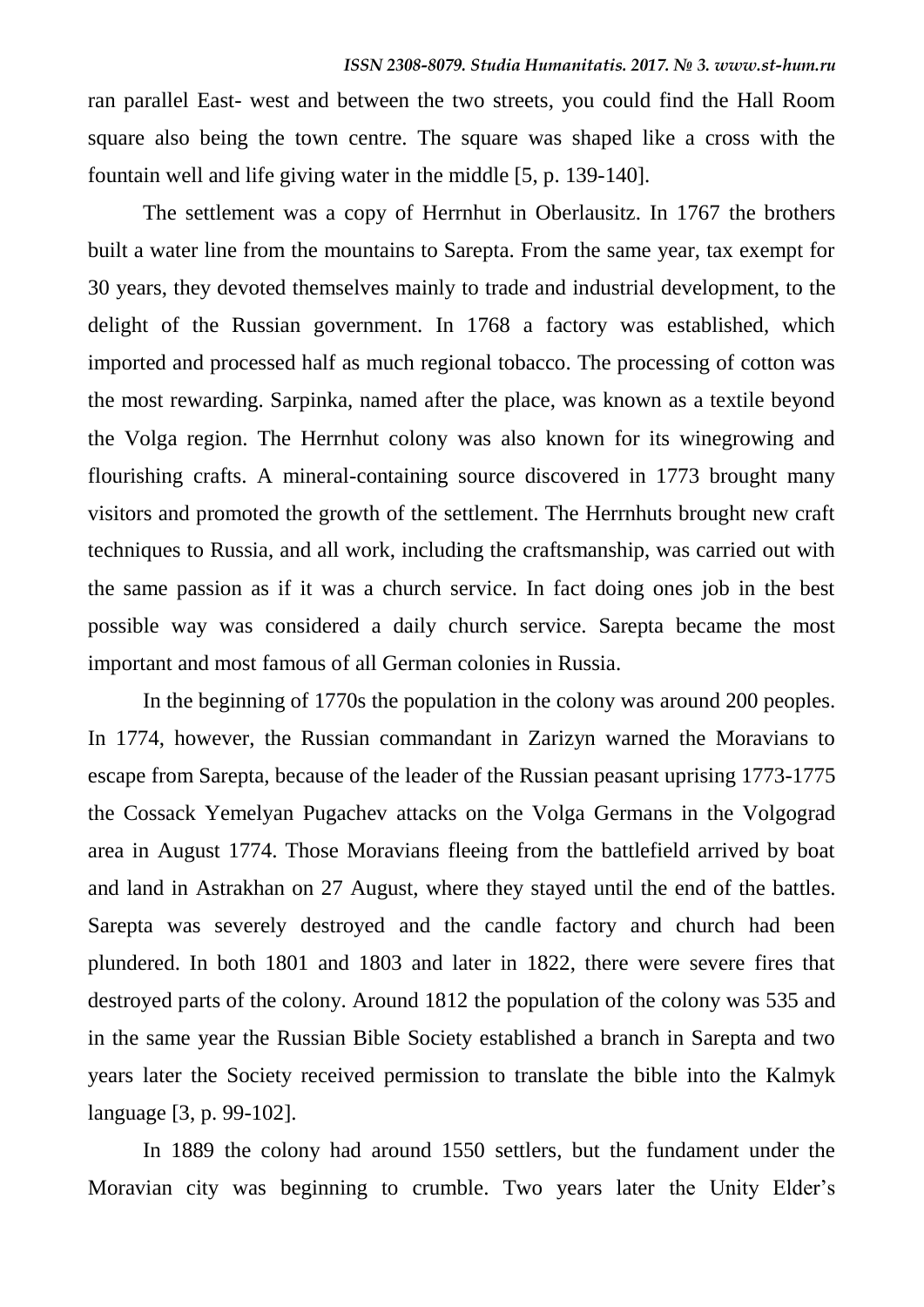ran parallel East- west and between the two streets, you could find the Hall Room square also being the town centre. The square was shaped like a cross with the fountain well and life giving water in the middle [5, p. 139-140].

The settlement was a copy of Herrnhut in Oberlausitz. In 1767 the brothers built a water line from the mountains to Sarepta. From the same year, tax exempt for 30 years, they devoted themselves mainly to trade and industrial development, to the delight of the Russian government. In 1768 a factory was established, which imported and processed half as much regional tobacco. The processing of cotton was the most rewarding. Sarpinka, named after the place, was known as a textile beyond the Volga region. The Herrnhut colony was also known for its winegrowing and flourishing crafts. A mineral-containing source discovered in 1773 brought many visitors and promoted the growth of the settlement. The Herrnhuts brought new craft techniques to Russia, and all work, including the craftsmanship, was carried out with the same passion as if it was a church service. In fact doing ones job in the best possible way was considered a daily church service. Sarepta became the most important and most famous of all German colonies in Russia.

In the beginning of 1770s the population in the colony was around 200 peoples. In 1774, however, the Russian commandant in Zarizyn warned the Moravians to escape from Sarepta, because of the leader of the Russian peasant uprising 1773-1775 the Cossack Yemelyan Pugachev attacks on the Volga Germans in the Volgograd area in August 1774. Those Moravians fleeing from the battlefield arrived by boat and land in Astrakhan on 27 August, where they stayed until the end of the battles. Sarepta was severely destroyed and the candle factory and church had been plundered. In both 1801 and 1803 and later in 1822, there were severe fires that destroyed parts of the colony. Around 1812 the population of the colony was 535 and in the same year the Russian Bible Society established a branch in Sarepta and two years later the Society received permission to translate the bible into the Kalmyk language [3, p. 99-102].

In 1889 the colony had around 1550 settlers, but the fundament under the Moravian city was beginning to crumble. Two years later the Unity Elder's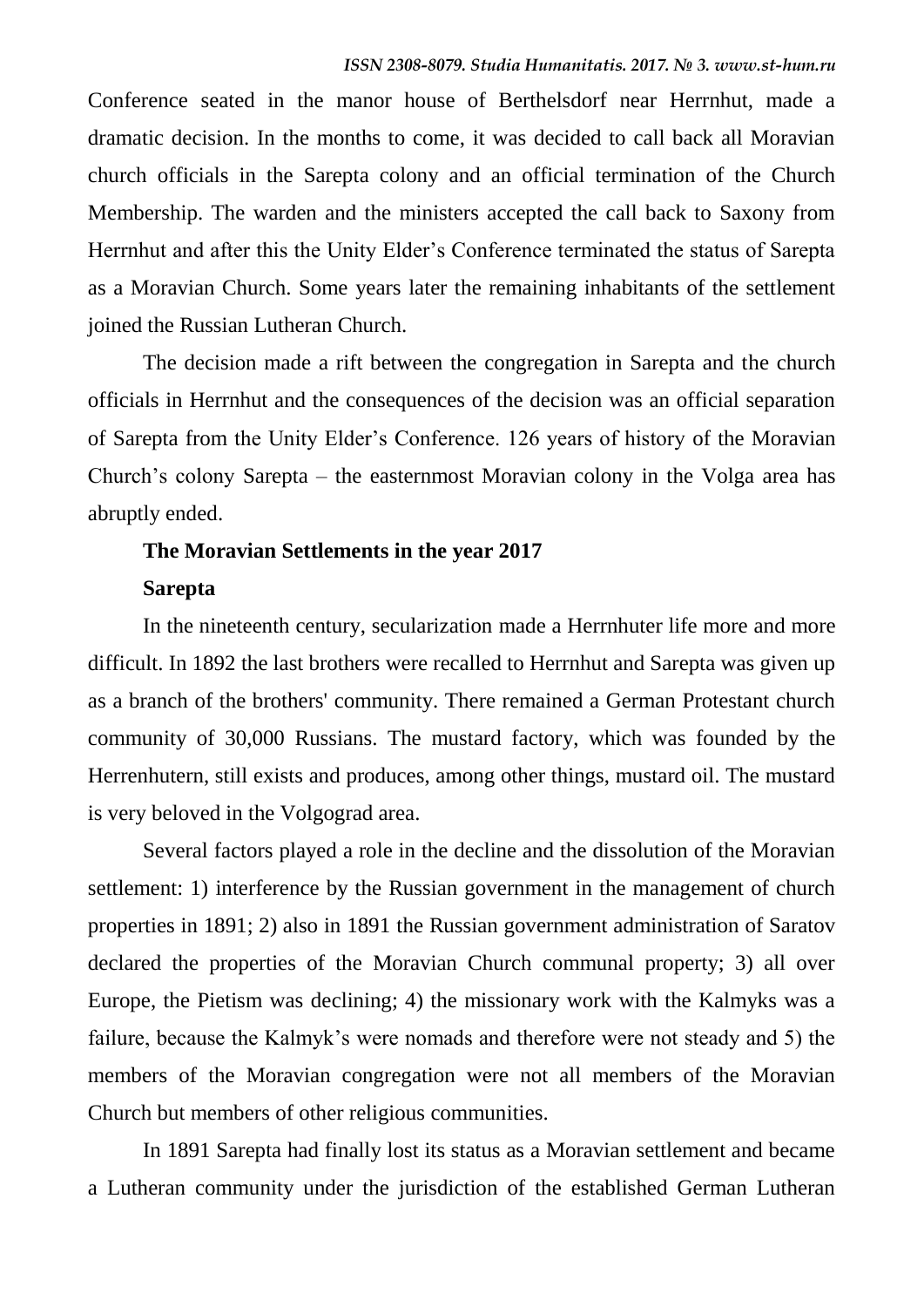Conference seated in the manor house of Berthelsdorf near Herrnhut, made a dramatic decision. In the months to come, it was decided to call back all Moravian church officials in the Sarepta colony and an official termination of the Church Membership. The warden and the ministers accepted the call back to Saxony from Herrnhut and after this the Unity Elder's Conference terminated the status of Sarepta as a Moravian Church. Some years later the remaining inhabitants of the settlement joined the Russian Lutheran Church.

The decision made a rift between the congregation in Sarepta and the church officials in Herrnhut and the consequences of the decision was an official separation of Sarepta from the Unity Elder's Conference. 126 years of history of the Moravian Church's colony Sarepta – the easternmost Moravian colony in the Volga area has abruptly ended.

## **The Moravian Settlements in the year 2017 Sarepta**

In the nineteenth century, secularization made a Herrnhuter life more and more difficult. In 1892 the last brothers were recalled to Herrnhut and Sarepta was given up as a branch of the brothers' community. There remained a German Protestant church community of 30,000 Russians. The mustard factory, which was founded by the Herrenhutern, still exists and produces, among other things, mustard oil. The mustard is very beloved in the Volgograd area.

Several factors played a role in the decline and the dissolution of the Moravian settlement: 1) interference by the Russian government in the management of church properties in 1891; 2) also in 1891 the Russian government administration of Saratov declared the properties of the Moravian Church communal property; 3) all over Europe, the Pietism was declining; 4) the missionary work with the Kalmyks was a failure, because the Kalmyk's were nomads and therefore were not steady and 5) the members of the Moravian congregation were not all members of the Moravian Church but members of other religious communities.

In 1891 Sarepta had finally lost its status as a Moravian settlement and became a Lutheran community under the jurisdiction of the established German Lutheran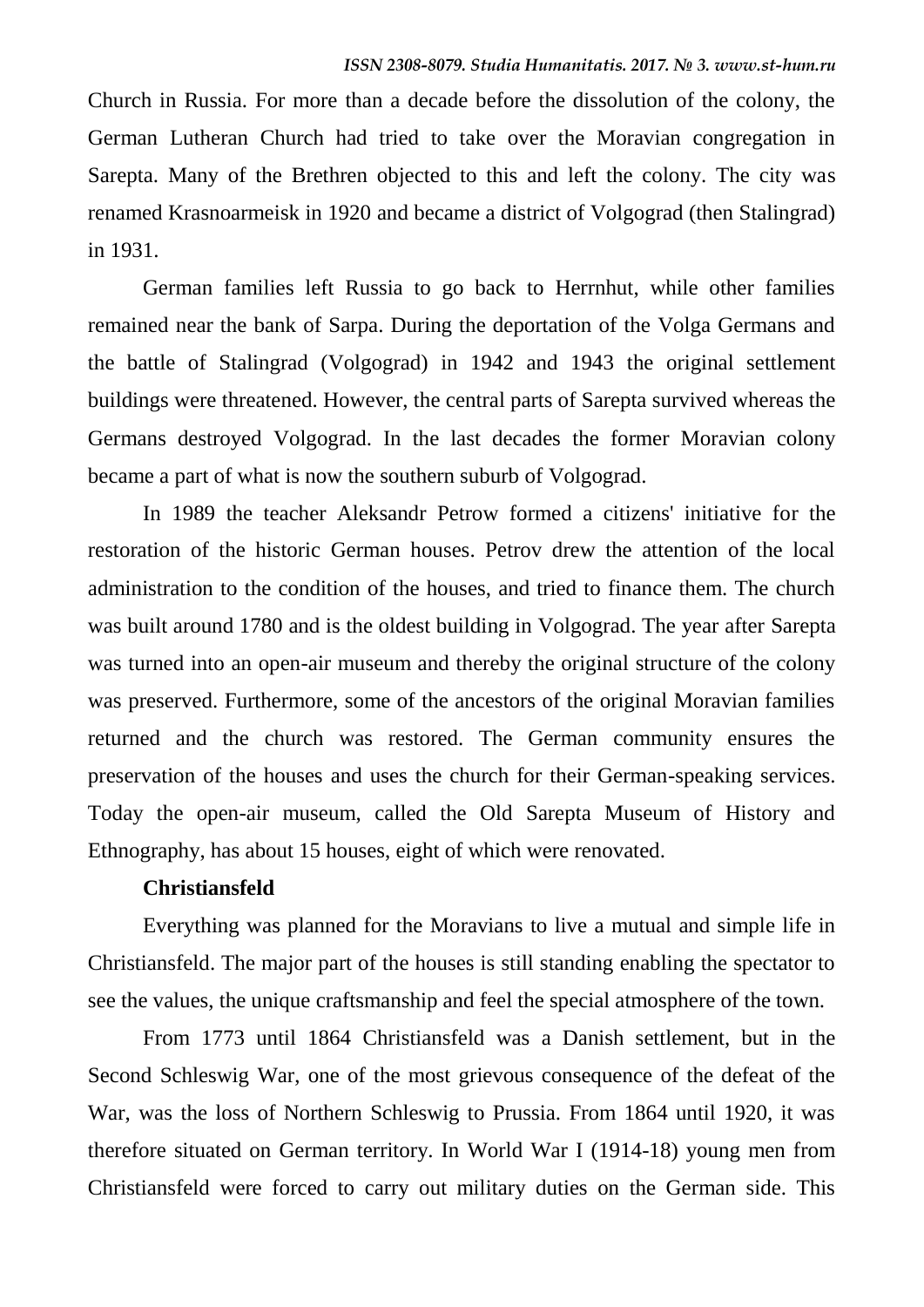Church in Russia. For more than a decade before the dissolution of the colony, the German Lutheran Church had tried to take over the Moravian congregation in Sarepta. Many of the Brethren objected to this and left the colony. The city was renamed Krasnoarmeisk in 1920 and became a district of Volgograd (then Stalingrad) in 1931.

German families left Russia to go back to Herrnhut, while other families remained near the bank of Sarpa. During the deportation of the Volga Germans and the battle of Stalingrad (Volgograd) in 1942 and 1943 the original settlement buildings were threatened. However, the central parts of Sarepta survived whereas the Germans destroyed Volgograd. In the last decades the former Moravian colony became a part of what is now the southern suburb of Volgograd.

In 1989 the teacher Aleksandr Petrow formed a citizens' initiative for the restoration of the historic German houses. Petrov drew the attention of the local administration to the condition of the houses, and tried to finance them. The church was built around 1780 and is the oldest building in Volgograd. The year after Sarepta was turned into an open-air museum and thereby the original structure of the colony was preserved. Furthermore, some of the ancestors of the original Moravian families returned and the church was restored. The German community ensures the preservation of the houses and uses the church for their German-speaking services. Today the open-air museum, called the Old Sarepta Museum of History and Ethnography, has about 15 houses, eight of which were renovated.

### **Christiansfeld**

Everything was planned for the Moravians to live a mutual and simple life in Christiansfeld. The major part of the houses is still standing enabling the spectator to see the values, the unique craftsmanship and feel the special atmosphere of the town.

From 1773 until 1864 Christiansfeld was a Danish settlement, but in the Second Schleswig War, one of the most grievous consequence of the defeat of the War, was the loss of Northern Schleswig to Prussia. From 1864 until 1920, it was therefore situated on German territory. In World War I (1914-18) young men from Christiansfeld were forced to carry out military duties on the German side. This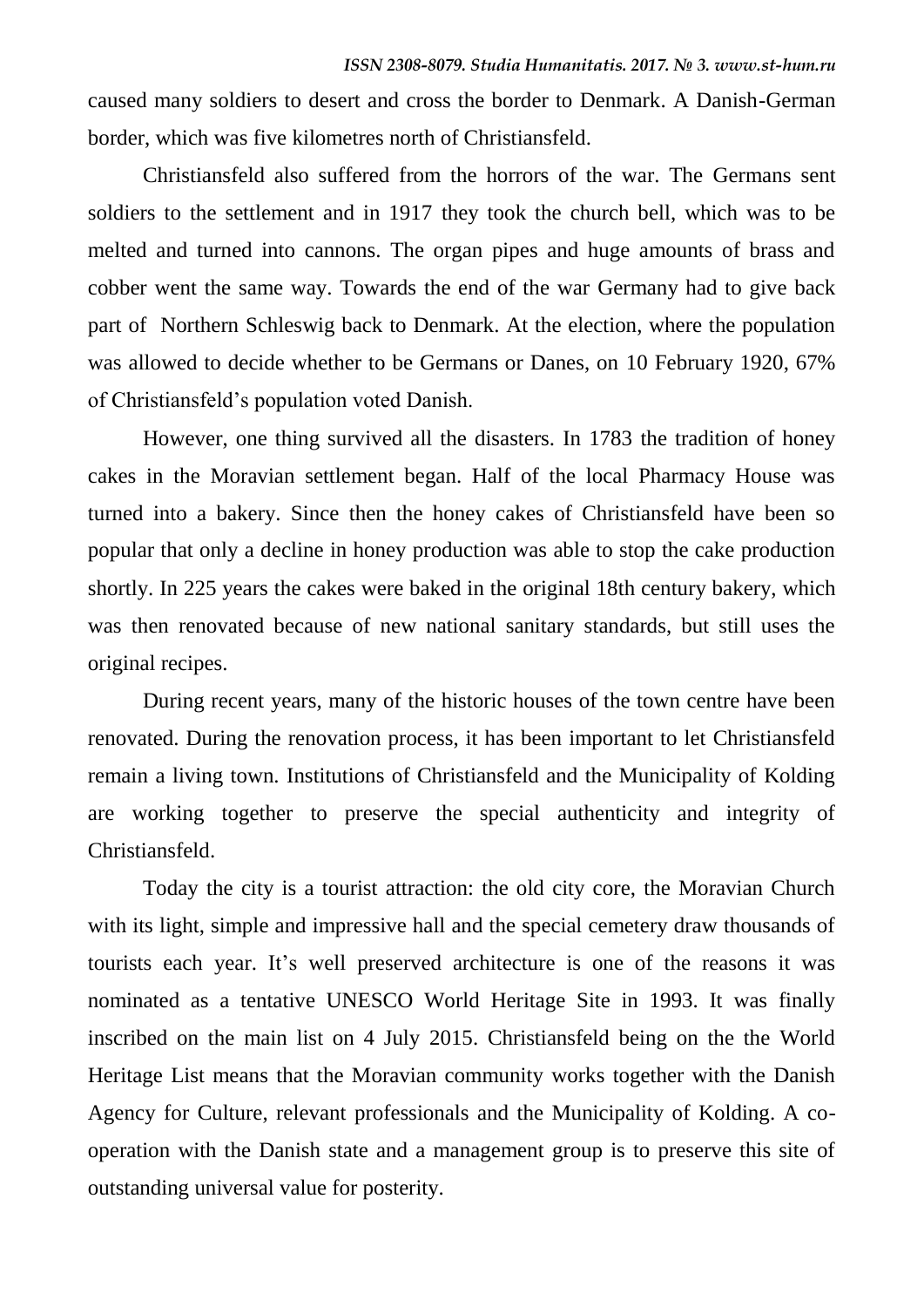caused many soldiers to desert and cross the border to Denmark. A Danish-German border, which was five kilometres north of Christiansfeld.

Christiansfeld also suffered from the horrors of the war. The Germans sent soldiers to the settlement and in 1917 they took the church bell, which was to be melted and turned into cannons. The organ pipes and huge amounts of brass and cobber went the same way. Towards the end of the war Germany had to give back part of Northern Schleswig back to Denmark. At the election, where the population was allowed to decide whether to be Germans or Danes, on 10 February 1920, 67% of Christiansfeld's population voted Danish.

However, one thing survived all the disasters. In 1783 the tradition of honey cakes in the Moravian settlement began. Half of the local Pharmacy House was turned into a bakery. Since then the honey cakes of Christiansfeld have been so popular that only a decline in honey production was able to stop the cake production shortly. In 225 years the cakes were baked in the original 18th century bakery, which was then renovated because of new national sanitary standards, but still uses the original recipes.

During recent years, many of the historic houses of the town centre have been renovated. During the renovation process, it has been important to let Christiansfeld remain a living town. Institutions of Christiansfeld and the Municipality of Kolding are working together to preserve the special authenticity and integrity of Christiansfeld.

Today the city is a tourist attraction: the old city core, the Moravian Church with its light, simple and impressive hall and the special cemetery draw thousands of tourists each year. It's well preserved architecture is one of the reasons it was nominated as a tentative UNESCO World Heritage Site in 1993. It was finally inscribed on the main list on 4 July 2015. Christiansfeld being on the the World Heritage List means that the Moravian community works together with the Danish Agency for Culture, relevant professionals and the Municipality of Kolding. A cooperation with the Danish state and a management group is to preserve this site of outstanding universal value for posterity.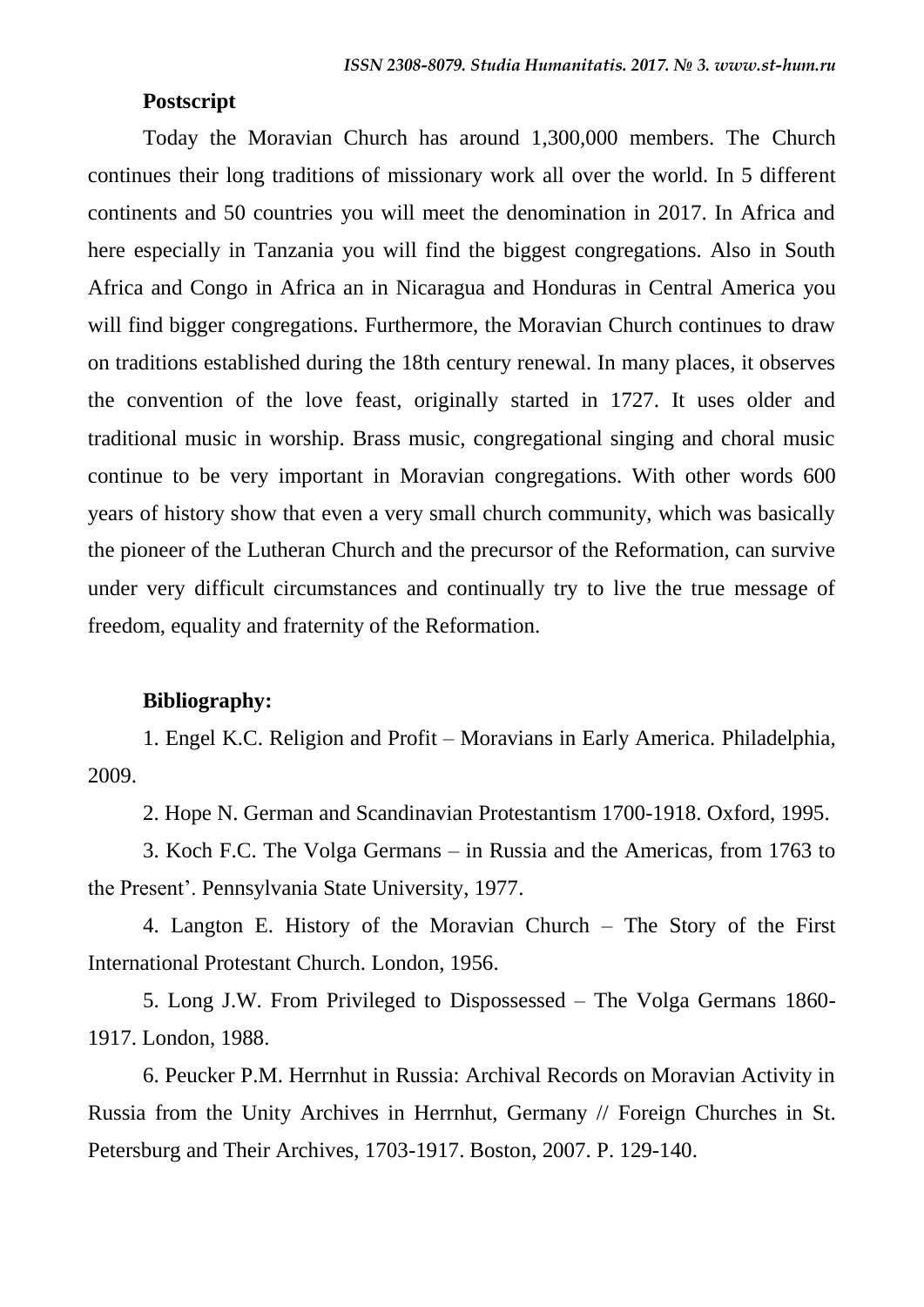### **Postscript**

Today the Moravian Church has around 1,300,000 members. The Church continues their long traditions of missionary work all over the world. In 5 different continents and 50 countries you will meet the denomination in 2017. In Africa and here especially in Tanzania you will find the biggest congregations. Also in South Africa and Congo in Africa an in Nicaragua and Honduras in Central America you will find bigger congregations. Furthermore, the Moravian Church continues to draw on traditions established during the 18th century renewal. In many places, it observes the convention of the love feast, originally started in 1727. It uses older and traditional music in worship. Brass music, congregational singing and choral music continue to be very important in Moravian congregations. With other words 600 years of history show that even a very small church community, which was basically the pioneer of the Lutheran Church and the precursor of the Reformation, can survive under very difficult circumstances and continually try to live the true message of freedom, equality and fraternity of the Reformation.

#### **Bibliography:**

1. Engel K.C. Religion and Profit – Moravians in Early America. Philadelphia, 2009.

2. Hope N. German and Scandinavian Protestantism 1700-1918. Oxford, 1995.

3. Koch F.C. The Volga Germans – in Russia and the Americas, from 1763 to the Present'. Pennsylvania State University, 1977.

4. Langton E. History of the Moravian Church – The Story of the First International Protestant Church. London, 1956.

5. Long J.W. From Privileged to Dispossessed – The Volga Germans 1860- 1917. London, 1988.

6. Peucker P.M. Herrnhut in Russia: Archival Records on Moravian Activity in Russia from the Unity Archives in Herrnhut, Germany // Foreign Churches in St. Petersburg and Their Archives, 1703-1917. Boston, 2007. P. 129-140.